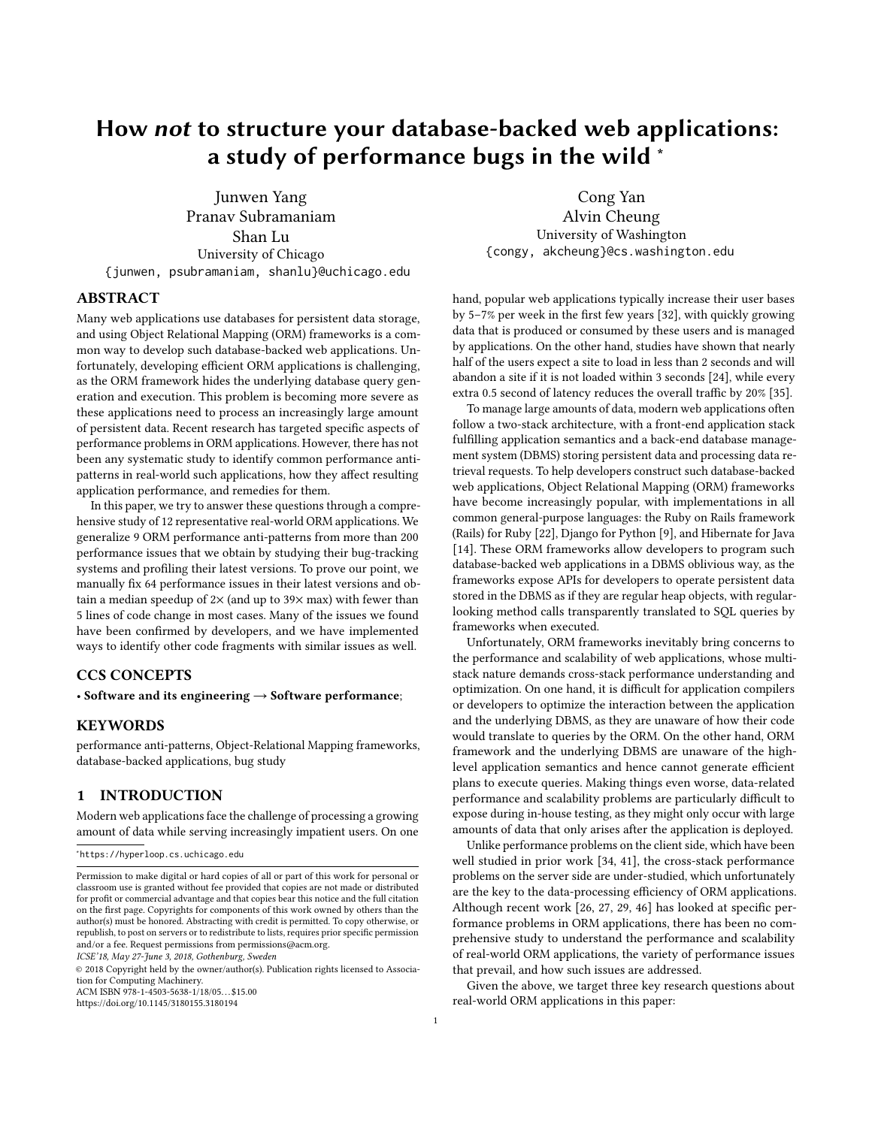# How not to structure your database-backed web applications: a study of performance bugs in the wild <sup>∗</sup>

Junwen Yang Pranav Subramaniam Shan Lu University of Chicago {junwen, psubramaniam, shanlu}@uchicago.edu

# ABSTRACT

Many web applications use databases for persistent data storage, and using Object Relational Mapping (ORM) frameworks is a common way to develop such database-backed web applications. Unfortunately, developing efficient ORM applications is challenging, as the ORM framework hides the underlying database query generation and execution. This problem is becoming more severe as these applications need to process an increasingly large amount of persistent data. Recent research has targeted specific aspects of performance problems in ORM applications. However, there has not been any systematic study to identify common performance antipatterns in real-world such applications, how they affect resulting application performance, and remedies for them.

In this paper, we try to answer these questions through a comprehensive study of 12 representative real-world ORM applications. We generalize 9 ORM performance anti-patterns from more than 200 performance issues that we obtain by studying their bug-tracking systems and profiling their latest versions. To prove our point, we manually fix 64 performance issues in their latest versions and obtain a median speedup of  $2\times$  (and up to  $39\times$  max) with fewer than 5 lines of code change in most cases. Many of the issues we found have been confirmed by developers, and we have implemented ways to identify other code fragments with similar issues as well.

# CCS CONCEPTS

• Software and its engineering  $\rightarrow$  Software performance;

### **KEYWORDS**

performance anti-patterns, Object-Relational Mapping frameworks, database-backed applications, bug study

# 1 INTRODUCTION

Modern web applications face the challenge of processing a growing amount of data while serving increasingly impatient users. On one

ICSE'18, May 27-June 3, 2018, Gothenburg, Sweden

© 2018 Copyright held by the owner/author(s). Publication rights licensed to Association for Computing Machinery. ACM ISBN 978-1-4503-5638-1/18/05. . . \$15.00

<https://doi.org/10.1145/3180155.3180194>

Cong Yan Alvin Cheung University of Washington {congy, akcheung}@cs.washington.edu

hand, popular web applications typically increase their user bases by 5–7% per week in the first few years [\[32\]](#page-10-0), with quickly growing data that is produced or consumed by these users and is managed by applications. On the other hand, studies have shown that nearly half of the users expect a site to load in less than 2 seconds and will abandon a site if it is not loaded within 3 seconds [\[24\]](#page-10-1), while every extra 0.5 second of latency reduces the overall traffic by 20% [\[35\]](#page-10-2).

To manage large amounts of data, modern web applications often follow a two-stack architecture, with a front-end application stack fulfilling application semantics and a back-end database management system (DBMS) storing persistent data and processing data retrieval requests. To help developers construct such database-backed web applications, Object Relational Mapping (ORM) frameworks have become increasingly popular, with implementations in all common general-purpose languages: the Ruby on Rails framework (Rails) for Ruby [\[22\]](#page-10-3), Django for Python [\[9\]](#page-10-4), and Hibernate for Java [\[14\]](#page-10-5). These ORM frameworks allow developers to program such database-backed web applications in a DBMS oblivious way, as the frameworks expose APIs for developers to operate persistent data stored in the DBMS as if they are regular heap objects, with regularlooking method calls transparently translated to SQL queries by frameworks when executed.

Unfortunately, ORM frameworks inevitably bring concerns to the performance and scalability of web applications, whose multistack nature demands cross-stack performance understanding and optimization. On one hand, it is difficult for application compilers or developers to optimize the interaction between the application and the underlying DBMS, as they are unaware of how their code would translate to queries by the ORM. On the other hand, ORM framework and the underlying DBMS are unaware of the highlevel application semantics and hence cannot generate efficient plans to execute queries. Making things even worse, data-related performance and scalability problems are particularly difficult to expose during in-house testing, as they might only occur with large amounts of data that only arises after the application is deployed.

Unlike performance problems on the client side, which have been well studied in prior work [\[34,](#page-10-6) [41\]](#page-10-7), the cross-stack performance problems on the server side are under-studied, which unfortunately are the key to the data-processing efficiency of ORM applications. Although recent work [\[26,](#page-10-8) [27,](#page-10-9) [29,](#page-10-10) [46\]](#page-10-11) has looked at specific performance problems in ORM applications, there has been no comprehensive study to understand the performance and scalability of real-world ORM applications, the variety of performance issues that prevail, and how such issues are addressed.

Given the above, we target three key research questions about real-world ORM applications in this paper:

<sup>∗</sup> https://hyperloop.cs.uchicago.edu

Permission to make digital or hard copies of all or part of this work for personal or classroom use is granted without fee provided that copies are not made or distributed for profit or commercial advantage and that copies bear this notice and the full citation on the first page. Copyrights for components of this work owned by others than the author(s) must be honored. Abstracting with credit is permitted. To copy otherwise, or republish, to post on servers or to redistribute to lists, requires prior specific permission and/or a fee. Request permissions from permissions@acm.org.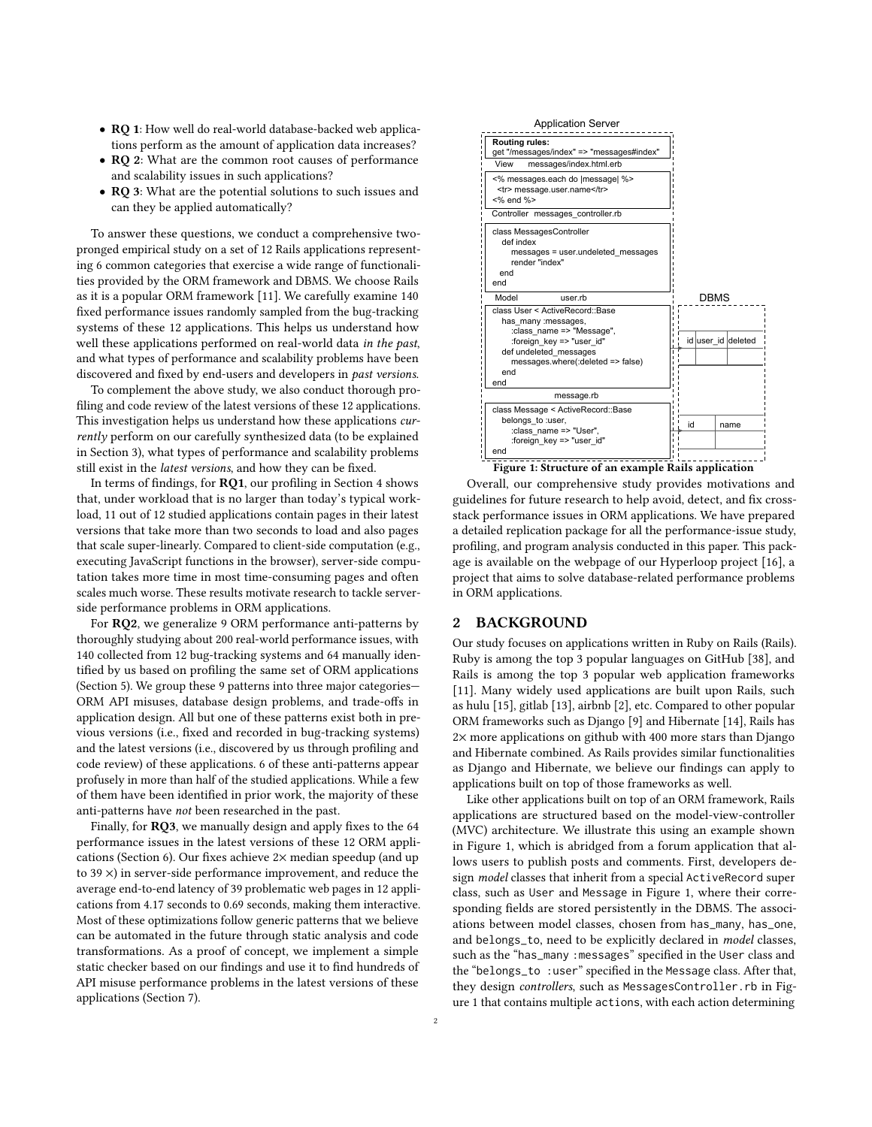- RQ 1: How well do real-world database-backed web applications perform as the amount of application data increases?
- **RQ 2**: What are the common root causes of performance and scalability issues in such applications?
- RQ 3: What are the potential solutions to such issues and can they be applied automatically?

To answer these questions, we conduct a comprehensive twopronged empirical study on a set of 12 Rails applications representing 6 common categories that exercise a wide range of functionalities provided by the ORM framework and DBMS. We choose Rails as it is a popular ORM framework [\[11\]](#page-10-12). We carefully examine 140 fixed performance issues randomly sampled from the bug-tracking systems of these 12 applications. This helps us understand how well these applications performed on real-world data in the past, and what types of performance and scalability problems have been discovered and fixed by end-users and developers in past versions.

To complement the above study, we also conduct thorough profiling and code review of the latest versions of these 12 applications. This investigation helps us understand how these applications currently perform on our carefully synthesized data (to be explained in Section [3\)](#page-2-0), what types of performance and scalability problems still exist in the latest versions, and how they can be fixed.

In terms of findings, for RQ1, our profiling in Section [4](#page-3-0) shows that, under workload that is no larger than today's typical workload, 11 out of 12 studied applications contain pages in their latest versions that take more than two seconds to load and also pages that scale super-linearly. Compared to client-side computation (e.g., executing JavaScript functions in the browser), server-side computation takes more time in most time-consuming pages and often scales much worse. These results motivate research to tackle serverside performance problems in ORM applications.

For RQ2, we generalize 9 ORM performance anti-patterns by thoroughly studying about 200 real-world performance issues, with 140 collected from 12 bug-tracking systems and 64 manually identified by us based on profiling the same set of ORM applications (Section [5\)](#page-4-0). We group these 9 patterns into three major categories— ORM API misuses, database design problems, and trade-offs in application design. All but one of these patterns exist both in previous versions (i.e., fixed and recorded in bug-tracking systems) and the latest versions (i.e., discovered by us through profiling and code review) of these applications. 6 of these anti-patterns appear profusely in more than half of the studied applications. While a few of them have been identified in prior work, the majority of these anti-patterns have not been researched in the past.

Finally, for RQ3, we manually design and apply fixes to the 64 performance issues in the latest versions of these 12 ORM applications (Section [6\)](#page-7-0). Our fixes achieve 2× median speedup (and up to 39 ×) in server-side performance improvement, and reduce the average end-to-end latency of 39 problematic web pages in 12 applications from 4.17 seconds to 0.69 seconds, making them interactive. Most of these optimizations follow generic patterns that we believe can be automated in the future through static analysis and code transformations. As a proof of concept, we implement a simple static checker based on our findings and use it to find hundreds of API misuse performance problems in the latest versions of these applications (Section [7\)](#page-8-0).

<span id="page-1-0"></span>

Figure 1: Structure of an example Rails application

Overall, our comprehensive study provides motivations and guidelines for future research to help avoid, detect, and fix crossstack performance issues in ORM applications. We have prepared a detailed replication package for all the performance-issue study, profiling, and program analysis conducted in this paper. This package is available on the webpage of our Hyperloop project [\[16\]](#page-10-13), a project that aims to solve database-related performance problems in ORM applications.

# <span id="page-1-1"></span>2 BACKGROUND

Our study focuses on applications written in Ruby on Rails (Rails). Ruby is among the top 3 popular languages on GitHub [\[38\]](#page-10-14), and Rails is among the top 3 popular web application frameworks [\[11\]](#page-10-12). Many widely used applications are built upon Rails, such as hulu [\[15\]](#page-10-15), gitlab [\[13\]](#page-10-16), airbnb [\[2\]](#page-10-17), etc. Compared to other popular ORM frameworks such as Django [\[9\]](#page-10-4) and Hibernate [\[14\]](#page-10-5), Rails has 2× more applications on github with 400 more stars than Django and Hibernate combined. As Rails provides similar functionalities as Django and Hibernate, we believe our findings can apply to applications built on top of those frameworks as well.

Like other applications built on top of an ORM framework, Rails applications are structured based on the model-view-controller (MVC) architecture. We illustrate this using an example shown in Figure [1,](#page-1-0) which is abridged from a forum application that allows users to publish posts and comments. First, developers design model classes that inherit from a special ActiveRecord super class, such as User and Message in Figure [1,](#page-1-0) where their corresponding fields are stored persistently in the DBMS. The associations between model classes, chosen from has\_many, has\_one, and belongs\_to, need to be explicitly declared in model classes, such as the "has\_many :messages" specified in the User class and the "belongs\_to :user" specified in the Message class. After that, they design controllers, such as MessagesController.rb in Figure [1](#page-1-0) that contains multiple actions, with each action determining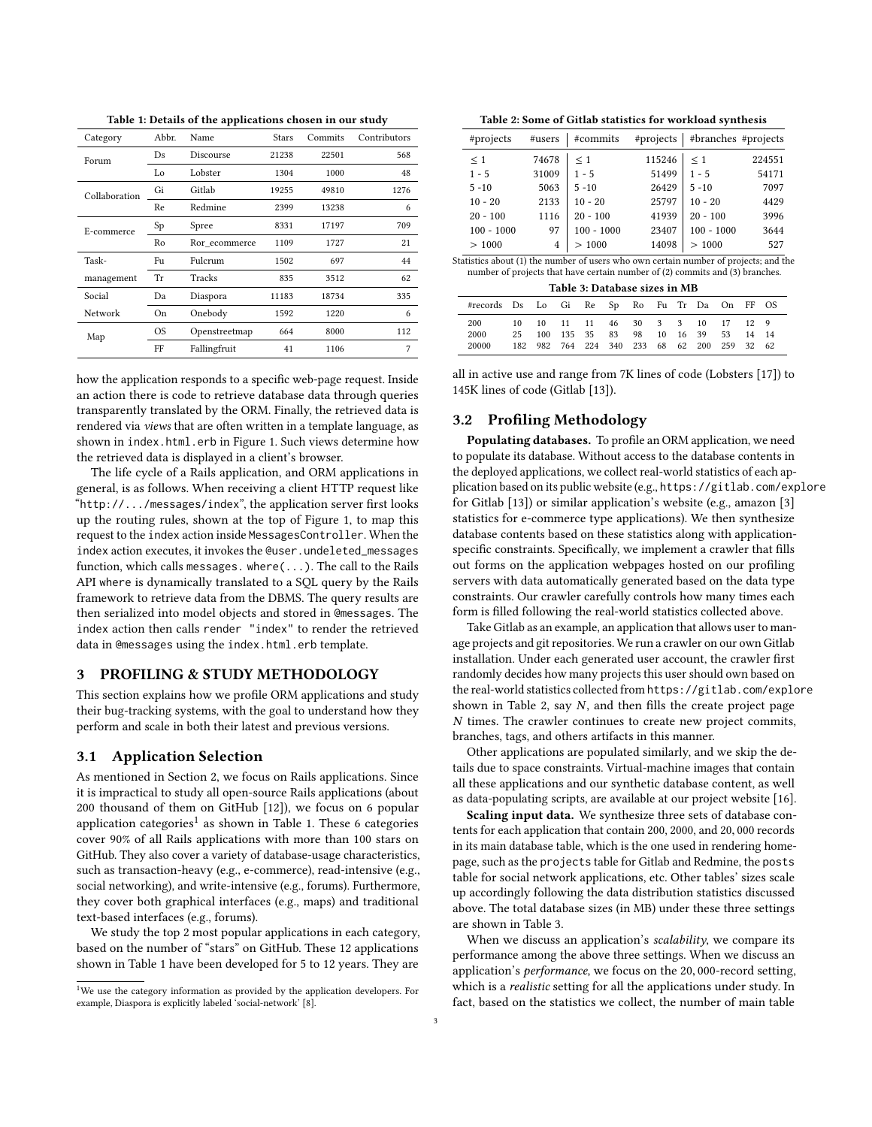Table 1: Details of the applications chosen in our study

<span id="page-2-2"></span>

| Category      | Abbr.<br>Name |               | <b>Stars</b> | Commits | Contributors |
|---------------|---------------|---------------|--------------|---------|--------------|
| Forum         | Ds            | Discourse     | 21238        | 22501   | 568          |
|               | Lo            | Lobster       | 1304         | 1000    | 48           |
| Collaboration | Gi            | Gitlab        | 19255        | 49810   | 1276         |
|               | Re            | Redmine       | 2399         | 13238   | 6            |
| E-commerce    | Sp            | Spree         | 8331         | 17197   | 709          |
|               | Ro            | Ror ecommerce | 1109         | 1727    | 21           |
| Task-         | Fu            | Fulcrum       | 1502         | 697     | 44           |
| management    | Tr            | Tracks        | 835          | 3512    | 62           |
| Social        | Da            | Diaspora      | 11183        | 18734   | 335          |
| Network       | On            | Onebody       | 1592         | 1220    | 6            |
| Map           | <b>OS</b>     | Openstreetmap | 664          | 8000    | 112          |
|               | FF            | Fallingfruit  | 41           | 1106    | 7            |

how the application responds to a specific web-page request. Inside an action there is code to retrieve database data through queries transparently translated by the ORM. Finally, the retrieved data is rendered via views that are often written in a template language, as shown in index.html.erb in Figure [1.](#page-1-0) Such views determine how the retrieved data is displayed in a client's browser.

The life cycle of a Rails application, and ORM applications in general, is as follows. When receiving a client HTTP request like "http://.../messages/index", the application server first looks up the routing rules, shown at the top of Figure [1,](#page-1-0) to map this request to the index action inside MessagesController. When the index action executes, it invokes the @user.undeleted\_messages function, which calls messages. where(...). The call to the Rails API where is dynamically translated to a SQL query by the Rails framework to retrieve data from the DBMS. The query results are then serialized into model objects and stored in @messages. The index action then calls render "index" to render the retrieved data in @messages using the index.html.erb template.

# <span id="page-2-0"></span>3 PROFILING & STUDY METHODOLOGY

This section explains how we profile ORM applications and study their bug-tracking systems, with the goal to understand how they perform and scale in both their latest and previous versions.

#### 3.1 Application Selection

As mentioned in Section [2,](#page-1-1) we focus on Rails applications. Since it is impractical to study all open-source Rails applications (about 200 thousand of them on GitHub [\[12\]](#page-10-18)), we focus on 6 popular application categories<sup>[1](#page-2-1)</sup> as shown in Table [1.](#page-2-2) These 6 categories cover 90% of all Rails applications with more than 100 stars on GitHub. They also cover a variety of database-usage characteristics, such as transaction-heavy (e.g., e-commerce), read-intensive (e.g., social networking), and write-intensive (e.g., forums). Furthermore, they cover both graphical interfaces (e.g., maps) and traditional text-based interfaces (e.g., forums).

We study the top 2 most popular applications in each category, based on the number of "stars" on GitHub. These 12 applications shown in Table [1](#page-2-2) have been developed for 5 to 12 years. They are

Table 2: Some of Gitlab statistics for workload synthesis

<span id="page-2-3"></span>

| #projects                                                                          | #users         | #commits     | #projects | #branches #projects |        |
|------------------------------------------------------------------------------------|----------------|--------------|-----------|---------------------|--------|
| $\leq 1$                                                                           | 74678          | $\leq 1$     | 115246    | $\leq 1$            | 224551 |
| $1 - 5$                                                                            | 31009          | $1 - 5$      | 51499     | $1 - 5$             | 54171  |
| $5 - 10$                                                                           | 5063           | $5 - 10$     | 26429     | $5 - 10$            | 7097   |
| $10 - 20$                                                                          | 2133           | $10 - 20$    | 25797     | $10 - 20$           | 4429   |
| $20 - 100$                                                                         | 1116           | $20 - 100$   | 41939     | $20 - 100$          | 3996   |
| $100 - 1000$                                                                       | 97             | $100 - 1000$ | 23407     | $100 - 1000$        | 3644   |
| >1000                                                                              | $\overline{4}$ | >1000        | 14098     | >1000               | 527    |
| tatistics about (1) the number of users who own certain number of projects; and th |                |              |           |                     |        |

Statistics about (1) the number of users who own certain number of projects; and the number of projects that have certain number of (2) commits and (3) branches. Table 3: Database sizes in MB

<span id="page-2-4"></span>

| Table 5: Database sizes in MD                |    |  |                           |  |  |  |  |  |  |                                             |       |  |
|----------------------------------------------|----|--|---------------------------|--|--|--|--|--|--|---------------------------------------------|-------|--|
| #records Ds Lo Gi Re Sp Ro Fu Tr Da On FF OS |    |  |                           |  |  |  |  |  |  |                                             |       |  |
| 200                                          |    |  |                           |  |  |  |  |  |  | 10 10 11 11 46 30 3 3 10 17 12 9            |       |  |
| 2000                                         | 25 |  | 100 135 35 83 98 10 16 39 |  |  |  |  |  |  | -53                                         | 14 14 |  |
| 20000                                        |    |  |                           |  |  |  |  |  |  | 182 982 764 224 340 233 68 62 200 259 32 62 |       |  |

all in active use and range from 7K lines of code (Lobsters [\[17\]](#page-10-20)) to 145K lines of code (Gitlab [\[13\]](#page-10-16)).

## <span id="page-2-5"></span>3.2 Profiling Methodology

Populating databases. To profile an ORM application, we need to populate its database. Without access to the database contents in the deployed applications, we collect real-world statistics of each application based on its public website (e.g., https://gitlab.com/explore for Gitlab [\[13\]](#page-10-16)) or similar application's website (e.g., amazon [\[3\]](#page-10-21) statistics for e-commerce type applications). We then synthesize database contents based on these statistics along with applicationspecific constraints. Specifically, we implement a crawler that fills out forms on the application webpages hosted on our profiling servers with data automatically generated based on the data type constraints. Our crawler carefully controls how many times each form is filled following the real-world statistics collected above.

Take Gitlab as an example, an application that allows user to manage projects and git repositories. We run a crawler on our own Gitlab installation. Under each generated user account, the crawler first randomly decides how many projects this user should own based on the real-world statistics collected from https://gitlab.com/explore shown in Table [2,](#page-2-3) say  $N$ , and then fills the create project page N times. The crawler continues to create new project commits, branches, tags, and others artifacts in this manner.

Other applications are populated similarly, and we skip the details due to space constraints. Virtual-machine images that contain all these applications and our synthetic database content, as well as data-populating scripts, are available at our project website [\[16\]](#page-10-13).

Scaling input data. We synthesize three sets of database contents for each application that contain 200, 2000, and <sup>20</sup>, <sup>000</sup> records in its main database table, which is the one used in rendering homepage, such as the projects table for Gitlab and Redmine, the posts table for social network applications, etc. Other tables' sizes scale up accordingly following the data distribution statistics discussed above. The total database sizes (in MB) under these three settings are shown in Table [3.](#page-2-4)

When we discuss an application's scalability, we compare its performance among the above three settings. When we discuss an application's performance, we focus on the <sup>20</sup>, 000-record setting, which is a realistic setting for all the applications under study. In fact, based on the statistics we collect, the number of main table

<span id="page-2-1"></span><sup>1</sup>We use the category information as provided by the application developers. For example, Diaspora is explicitly labeled 'social-network' [\[8\]](#page-10-19).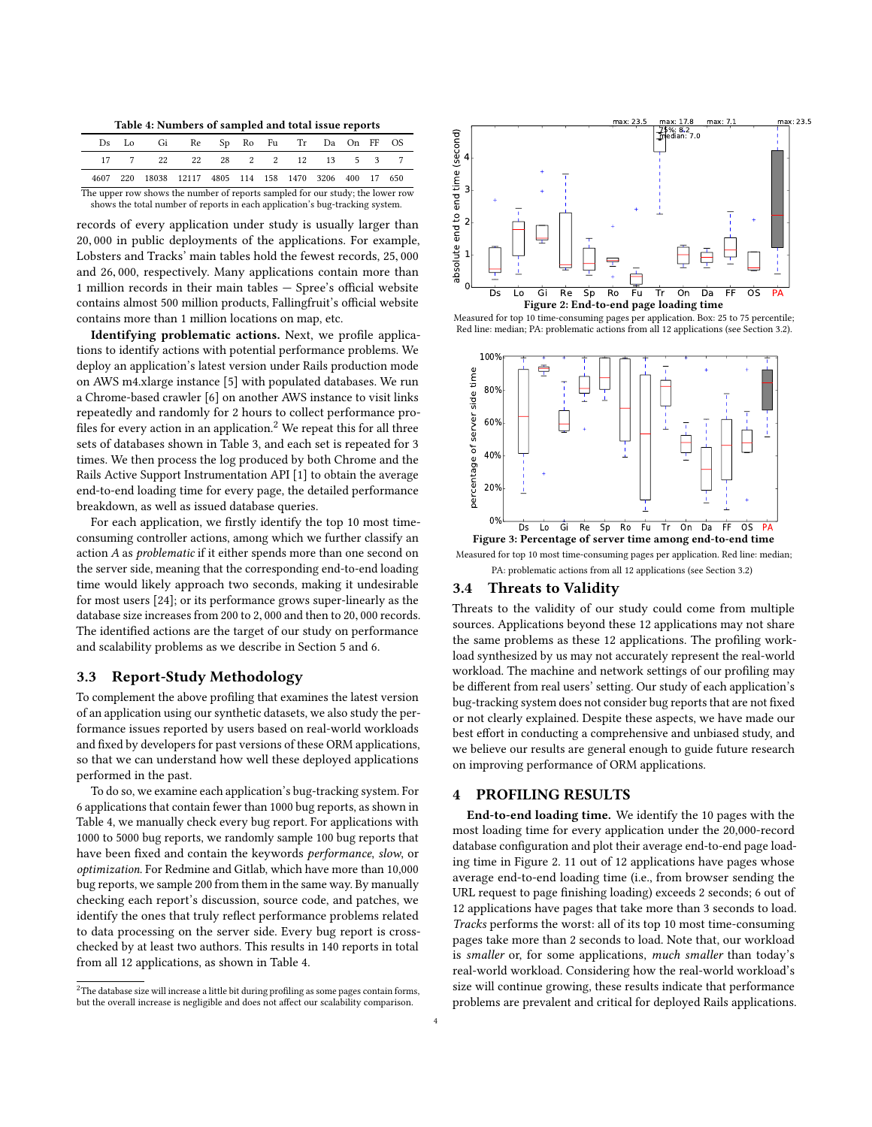Table 4: Numbers of sampled and total issue reports

<span id="page-3-2"></span>

| 17 7 22 22 28 2 2 12 13 5 3 7<br>4607 220 18038 12117 4805 114 158 1470 3206 400 17 650 |  | Ds Lo Gi Re Sp Ro Fu Tr Da On FF OS |  |  |  |  |
|-----------------------------------------------------------------------------------------|--|-------------------------------------|--|--|--|--|
|                                                                                         |  |                                     |  |  |  |  |
|                                                                                         |  |                                     |  |  |  |  |

The upper row shows the number of reports sampled for our study; the lower row shows the total number of reports in each application's bug-tracking system.

records of every application under study is usually larger than <sup>20</sup>, <sup>000</sup> in public deployments of the applications. For example, Lobsters and Tracks' main tables hold the fewest records, <sup>25</sup>, <sup>000</sup> and <sup>26</sup>, 000, respectively. Many applications contain more than 1 million records in their main tables — Spree's official website contains almost 500 million products, Fallingfruit's official website contains more than 1 million locations on map, etc.

Identifying problematic actions. Next, we profile applications to identify actions with potential performance problems. We deploy an application's latest version under Rails production mode on AWS m4.xlarge instance [\[5\]](#page-10-22) with populated databases. We run a Chrome-based crawler [\[6\]](#page-10-23) on another AWS instance to visit links repeatedly and randomly for 2 hours to collect performance pro-files for every action in an application.<sup>[2](#page-3-1)</sup> We repeat this for all three sets of databases shown in Table [3,](#page-2-4) and each set is repeated for 3 times. We then process the log produced by both Chrome and the Rails Active Support Instrumentation API [\[1\]](#page-10-24) to obtain the average end-to-end loading time for every page, the detailed performance breakdown, as well as issued database queries.

For each application, we firstly identify the top 10 most timeconsuming controller actions, among which we further classify an action A as problematic if it either spends more than one second on the server side, meaning that the corresponding end-to-end loading time would likely approach two seconds, making it undesirable for most users [\[24\]](#page-10-1); or its performance grows super-linearly as the database size increases from <sup>200</sup> to <sup>2</sup>, <sup>000</sup> and then to <sup>20</sup>, <sup>000</sup> records. The identified actions are the target of our study on performance and scalability problems as we describe in Section [5](#page-4-0) and [6.](#page-7-0)

# 3.3 Report-Study Methodology

To complement the above profiling that examines the latest version of an application using our synthetic datasets, we also study the performance issues reported by users based on real-world workloads and fixed by developers for past versions of these ORM applications, so that we can understand how well these deployed applications performed in the past.

To do so, we examine each application's bug-tracking system. For 6 applications that contain fewer than 1000 bug reports, as shown in Table [4,](#page-3-2) we manually check every bug report. For applications with 1000 to 5000 bug reports, we randomly sample 100 bug reports that have been fixed and contain the keywords performance, slow, or optimization. For Redmine and Gitlab, which have more than 10,000 bug reports, we sample 200 from them in the same way. By manually checking each report's discussion, source code, and patches, we identify the ones that truly reflect performance problems related to data processing on the server side. Every bug report is crosschecked by at least two authors. This results in 140 reports in total from all 12 applications, as shown in Table [4.](#page-3-2)

<span id="page-3-1"></span>

<span id="page-3-3"></span>



<span id="page-3-4"></span>

Measured for top 10 most time-consuming pages per application. Red line: median; PA: problematic actions from all 12 applications (see Section [3.2\)](#page-2-5)

## 3.4 Threats to Validity

Threats to the validity of our study could come from multiple sources. Applications beyond these 12 applications may not share the same problems as these 12 applications. The profiling workload synthesized by us may not accurately represent the real-world workload. The machine and network settings of our profiling may be different from real users' setting. Our study of each application's bug-tracking system does not consider bug reports that are not fixed or not clearly explained. Despite these aspects, we have made our best effort in conducting a comprehensive and unbiased study, and we believe our results are general enough to guide future research on improving performance of ORM applications.

# <span id="page-3-0"></span>4 PROFILING RESULTS

End-to-end loading time. We identify the 10 pages with the most loading time for every application under the 20,000-record database configuration and plot their average end-to-end page loading time in Figure [2.](#page-3-3) 11 out of 12 applications have pages whose average end-to-end loading time (i.e., from browser sending the URL request to page finishing loading) exceeds 2 seconds; 6 out of 12 applications have pages that take more than 3 seconds to load. Tracks performs the worst: all of its top 10 most time-consuming pages take more than 2 seconds to load. Note that, our workload is smaller or, for some applications, much smaller than today's real-world workload. Considering how the real-world workload's size will continue growing, these results indicate that performance problems are prevalent and critical for deployed Rails applications.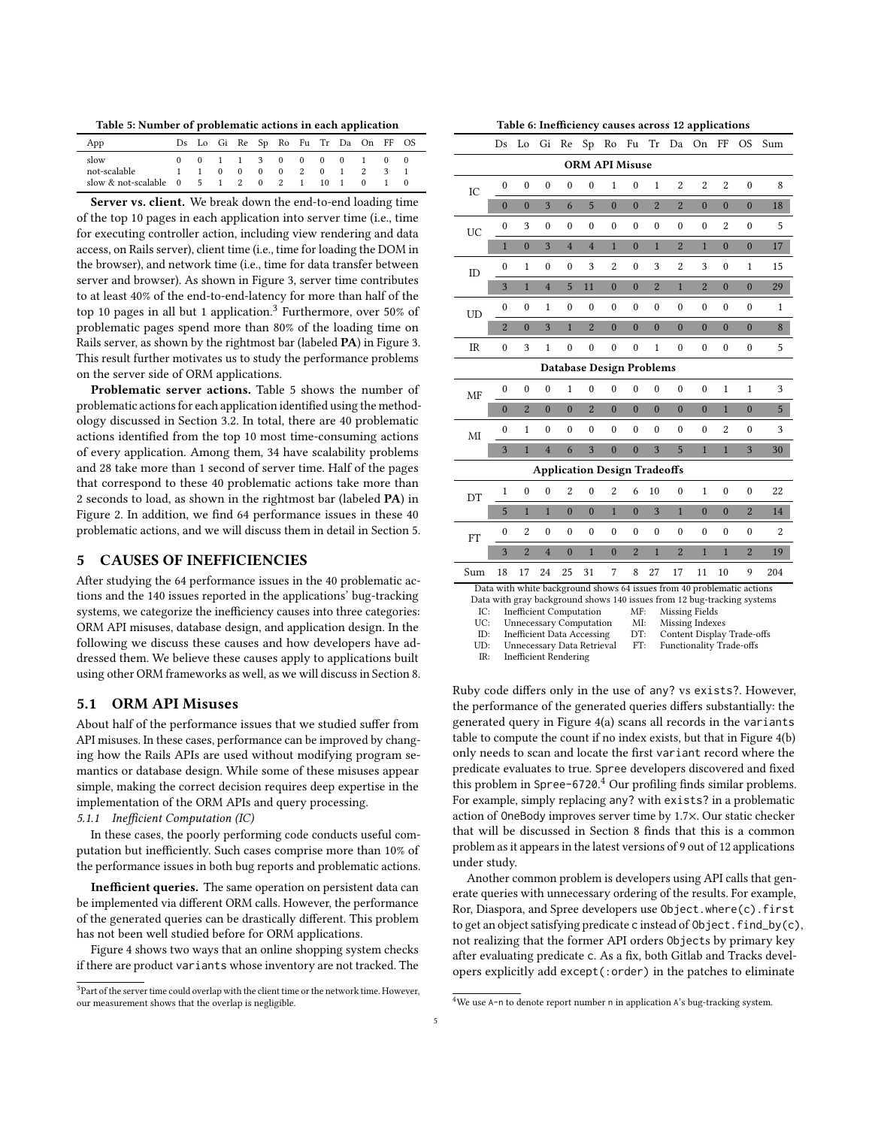<span id="page-4-2"></span>Table 5: Number of problematic actions in each application

| App                                    |  |  |                   |  | Ds Lo Gi Re Sp Ro Fu Tr Da On FF OS |  |
|----------------------------------------|--|--|-------------------|--|-------------------------------------|--|
| slow                                   |  |  |                   |  | 0 0 1 1 3 0 0 0 0 1 0 0             |  |
| not-scalable                           |  |  | 1 1 0 0 0 0 2 0 1 |  | 2 3                                 |  |
| slow & not-scalable 0 5 1 2 0 2 1 10 1 |  |  |                   |  | $\Omega$                            |  |

Server vs. client. We break down the end-to-end loading time of the top 10 pages in each application into server time (i.e., time for executing controller action, including view rendering and data access, on Rails server), client time (i.e., time for loading the DOM in the browser), and network time (i.e., time for data transfer between server and browser). As shown in Figure [3,](#page-3-4) server time contributes to at least 40% of the end-to-end-latency for more than half of the top 10 pages in all but 1 application.<sup>[3](#page-4-1)</sup> Furthermore, over 50% of problematic pages spend more than 80% of the loading time on Rails server, as shown by the rightmost bar (labeled PA) in Figure [3.](#page-3-4) This result further motivates us to study the performance problems on the server side of ORM applications.

Problematic server actions. Table [5](#page-4-2) shows the number of problematic actions for each application identified using the methodology discussed in Section [3.2.](#page-2-5) In total, there are 40 problematic actions identified from the top 10 most time-consuming actions of every application. Among them, 34 have scalability problems and 28 take more than 1 second of server time. Half of the pages that correspond to these 40 problematic actions take more than 2 seconds to load, as shown in the rightmost bar (labeled PA) in Figure [2.](#page-3-3) In addition, we find 64 performance issues in these 40 problematic actions, and we will discuss them in detail in Section [5.](#page-4-0)

# <span id="page-4-0"></span>5 CAUSES OF INEFFICIENCIES

After studying the 64 performance issues in the 40 problematic actions and the 140 issues reported in the applications' bug-tracking systems, we categorize the inefficiency causes into three categories: ORM API misuses, database design, and application design. In the following we discuss these causes and how developers have addressed them. We believe these causes apply to applications built using other ORM frameworks as well, as we will discuss in Section [8.](#page-8-1)

# <span id="page-4-5"></span>5.1 ORM API Misuses

About half of the performance issues that we studied suffer from API misuses. In these cases, performance can be improved by changing how the Rails APIs are used without modifying program semantics or database design. While some of these misuses appear simple, making the correct decision requires deep expertise in the implementation of the ORM APIs and query processing. 5.1.1 Inefficient Computation (IC)

<span id="page-4-6"></span>In these cases, the poorly performing code conducts useful computation but inefficiently. Such cases comprise more than 10% of the performance issues in both bug reports and problematic actions.

Inefficient queries. The same operation on persistent data can be implemented via different ORM calls. However, the performance of the generated queries can be drastically different. This problem has not been well studied before for ORM applications.

Figure [4](#page-5-0) shows two ways that an online shopping system checks if there are product variants whose inventory are not tracked. The

Table 6: Inefficiency causes across 12 applications

 $\overline{a}$ 

<span id="page-4-4"></span>

|                                   | Ds                                                                                                                                                                                                                                                                                                                                                               | Lo               | Gi               | Re               | Sp               | Ro               | Fu                                  | Tr               | Da               | On               | FF               | <b>OS</b>        | Sum            |  |
|-----------------------------------|------------------------------------------------------------------------------------------------------------------------------------------------------------------------------------------------------------------------------------------------------------------------------------------------------------------------------------------------------------------|------------------|------------------|------------------|------------------|------------------|-------------------------------------|------------------|------------------|------------------|------------------|------------------|----------------|--|
|                                   |                                                                                                                                                                                                                                                                                                                                                                  |                  |                  |                  |                  |                  | <b>ORM API Misuse</b>               |                  |                  |                  |                  |                  |                |  |
| IC                                | $\mathbf{0}$                                                                                                                                                                                                                                                                                                                                                     | $\mathbf{0}$     | $\mathbf{0}$     | $\mathbf{0}$     | $\boldsymbol{0}$ | $\mathbf{1}$     | 0                                   | 1                | 2                | $\overline{2}$   | $\overline{2}$   | $\mathbf{0}$     | 8              |  |
|                                   | $\bf{0}$                                                                                                                                                                                                                                                                                                                                                         | $\mathbf{0}$     | 3                | 6                | 5                | $\overline{0}$   | $\overline{0}$                      | $\overline{2}$   | $\overline{2}$   | $\mathbf{0}$     | $\overline{0}$   | $\overline{0}$   | 18             |  |
| UC                                | $\mathbf{0}$                                                                                                                                                                                                                                                                                                                                                     | 3                | $\boldsymbol{0}$ | $\boldsymbol{0}$ | $\boldsymbol{0}$ | 0                | $\boldsymbol{0}$                    | $\boldsymbol{0}$ | $\boldsymbol{0}$ | $\boldsymbol{0}$ | $\overline{c}$   | $\boldsymbol{0}$ | 5              |  |
|                                   | $\mathbf{1}$                                                                                                                                                                                                                                                                                                                                                     | $\mathbf{0}$     | 3                | $\overline{4}$   | $\overline{4}$   | $\mathbf{1}$     | $\mathbf{0}$                        | $\overline{1}$   | $\overline{c}$   | $\mathbf{1}$     | $\bf{0}$         | $\overline{0}$   | 17             |  |
| ID                                | $\theta$                                                                                                                                                                                                                                                                                                                                                         | $\mathbf{1}$     | $\mathbf{0}$     | $\mathbf{0}$     | 3                | $\overline{2}$   | $\mathbf{0}$                        | 3                | $\overline{2}$   | 3                | $\mathbf{0}$     | 1                | 15             |  |
|                                   | 3                                                                                                                                                                                                                                                                                                                                                                | $\mathbf{1}$     | $\overline{4}$   | 5                | 11               | $\overline{0}$   | $\overline{0}$                      | $\overline{2}$   | $\mathbf{1}$     | $\overline{2}$   | $\overline{0}$   | $\mathbf{0}$     | 29             |  |
| UD                                | $\mathbf{0}$                                                                                                                                                                                                                                                                                                                                                     | $\mathbf{0}$     | 1                | $\boldsymbol{0}$ | $\mathbf{0}$     | 0                | $\boldsymbol{0}$                    | 0                | $\mathbf{0}$     | $\mathbf{0}$     | $\mathbf{0}$     | $\boldsymbol{0}$ | 1              |  |
|                                   | $\overline{2}$                                                                                                                                                                                                                                                                                                                                                   | $\mathbf{0}$     | 3                | $\mathbf{1}$     | $\overline{2}$   | $\bf{0}$         | $\overline{0}$                      | $\bf{0}$         | $\mathbf{0}$     | $\mathbf{0}$     | $\mathbf{0}$     | $\mathbf{0}$     | 8              |  |
| $\ensuremath{\mathsf{IR}}\xspace$ | $\mathbf{0}$                                                                                                                                                                                                                                                                                                                                                     | 3                | $\mathbf{1}$     | $\mathbf{0}$     | $\mathbf{0}$     | $\mathbf{0}$     | $\mathbf{0}$                        | $\overline{1}$   | $\mathbf{0}$     | $\mathbf{0}$     | $\mathbf{0}$     | $\mathbf{0}$     | 5              |  |
|                                   | <b>Database Design Problems</b>                                                                                                                                                                                                                                                                                                                                  |                  |                  |                  |                  |                  |                                     |                  |                  |                  |                  |                  |                |  |
| MF                                | 0                                                                                                                                                                                                                                                                                                                                                                | $\boldsymbol{0}$ | 0                | 1                | 0                | $\boldsymbol{0}$ | $\boldsymbol{0}$                    | 0                | $\mathbf{0}$     | $\boldsymbol{0}$ | 1                | 1                | 3              |  |
|                                   | $\mathbf{0}$                                                                                                                                                                                                                                                                                                                                                     | $\overline{2}$   | $\mathbf{0}$     | $\bf{0}$         | $\overline{2}$   | $\mathbf{0}$     | $\bf{0}$                            | $\bf{0}$         | $\bf{0}$         | $\mathbf{0}$     | $\mathbf{1}$     | $\mathbf{0}$     | 5              |  |
| MI                                | $\theta$                                                                                                                                                                                                                                                                                                                                                         | 1                | $\mathbf{0}$     | $\mathbf{0}$     | $\mathbf{0}$     | $\mathbf{0}$     | $\mathbf{0}$                        | 0                | $\mathbf{0}$     | $\mathbf{0}$     | $\overline{c}$   | $\theta$         | 3              |  |
|                                   | 3                                                                                                                                                                                                                                                                                                                                                                | $\mathbf{1}$     | $\overline{4}$   | 6                | 3                | $\mathbf{0}$     | $\mathbf{0}$                        | 3                | 5                | $\mathbf{1}$     | $\mathbf{1}$     | 3                | 30             |  |
|                                   |                                                                                                                                                                                                                                                                                                                                                                  |                  |                  |                  |                  |                  | <b>Application Design Tradeoffs</b> |                  |                  |                  |                  |                  |                |  |
| DT                                | $\mathbf{1}$                                                                                                                                                                                                                                                                                                                                                     | $\mathbf{0}$     | $\boldsymbol{0}$ | $\overline{2}$   | $\boldsymbol{0}$ | 2                | 6                                   | 10               | $\boldsymbol{0}$ | 1                | $\boldsymbol{0}$ | $\boldsymbol{0}$ | 22             |  |
|                                   | 5                                                                                                                                                                                                                                                                                                                                                                | $\mathbf{1}$     | $\mathbf{1}$     | $\mathbf{0}$     | $\bf{0}$         | $\mathbf{1}$     | $\mathbf{0}$                        | 3                | $\mathbf{1}$     | $\Omega$         | $\bf{0}$         | $\overline{2}$   | 14             |  |
| <b>FT</b>                         | 0                                                                                                                                                                                                                                                                                                                                                                | $\overline{2}$   | $\mathbf{0}$     | $\mathbf{0}$     | $\mathbf{0}$     | $\mathbf{0}$     | $\mathbf{0}$                        | $\mathbf{0}$     | $\mathbf{0}$     | $\mathbf{0}$     | $\boldsymbol{0}$ | $\mathbf{0}$     | $\overline{2}$ |  |
|                                   | 3                                                                                                                                                                                                                                                                                                                                                                | $\overline{2}$   | $\overline{4}$   | $\mathbf{0}$     | $\mathbf{1}$     | $\overline{0}$   | $\overline{2}$                      | $\overline{1}$   | $\overline{2}$   | $\overline{1}$   | $\mathbf{1}$     | $\overline{2}$   | 19             |  |
| Sum                               | 18                                                                                                                                                                                                                                                                                                                                                               | 17               | 24               | 25               | 31               | 7                | 8                                   | 27               | 17               | 11               | 10               | 9                | 204            |  |
| ID:                               | Data with white background shows 64 issues from 40 problematic actions<br>Data with gray background shows 140 issues from 12 bug-tracking systems<br>IC:<br><b>Inefficient Computation</b><br>MF:<br>Missing Fields<br>UC:<br>MI:<br><b>Unnecessary Computation</b><br>Missing Indexes<br>DT:<br><b>Inefficient Data Accessing</b><br>Content Display Trade-offs |                  |                  |                  |                  |                  |                                     |                  |                  |                  |                  |                  |                |  |

UD: Unnecessary Data Retrieval FT: Functionality Trade-offs

Inefficient Rendering

Ruby code differs only in the use of any? vs exists?. However, the performance of the generated queries differs substantially: the generated query in Figure [4\(a\)](#page-5-0) scans all records in the variants table to compute the count if no index exists, but that in Figure [4\(b\)](#page-5-0) only needs to scan and locate the first variant record where the predicate evaluates to true. Spree developers discovered and fixed this problem in Spree-6720. [4](#page-4-3) Our profiling finds similar problems. For example, simply replacing any? with exists? in a problematic action of OneBody improves server time by 1.7×. Our static checker that will be discussed in Section [8](#page-8-1) finds that this is a common problem as it appears in the latest versions of 9 out of 12 applications under study.

Another common problem is developers using API calls that generate queries with unnecessary ordering of the results. For example, Ror, Diaspora, and Spree developers use Object.where(c).first to get an object satisfying predicate c instead of Object.find\_by(c), not realizing that the former API orders Objects by primary key after evaluating predicate c. As a fix, both Gitlab and Tracks developers explicitly add except(:order) in the patches to eliminate

<span id="page-4-1"></span> $3$ Part of the server time could overlap with the client time or the network time. However, our measurement shows that the overlap is negligible.

<span id="page-4-3"></span><sup>&</sup>lt;sup>4</sup>We use A-n to denote report number n in application A's bug-tracking system.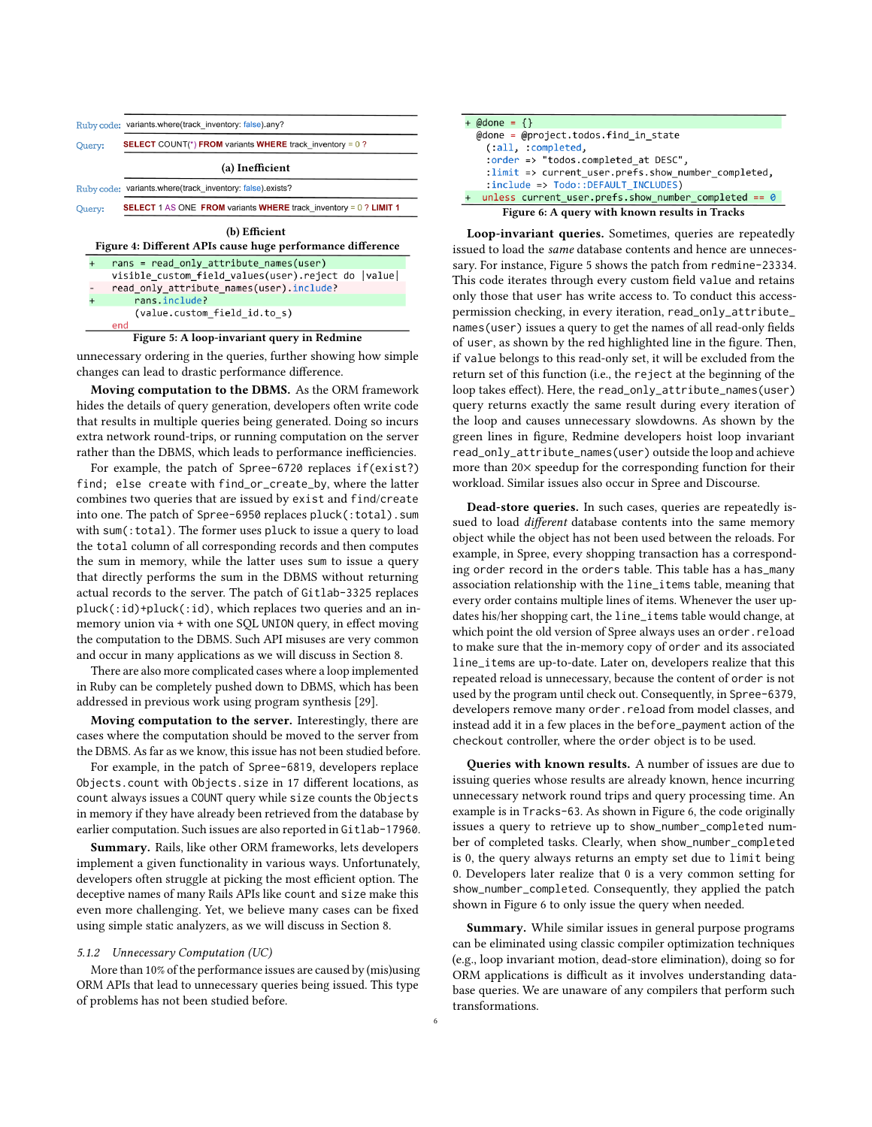<span id="page-5-0"></span>

|                                                                             | Ruby code: variants.where(track inventory: false).any?                     |  |  |  |  |  |  |  |  |  |  |
|-----------------------------------------------------------------------------|----------------------------------------------------------------------------|--|--|--|--|--|--|--|--|--|--|
| Query:                                                                      | <b>SELECT</b> COUNT(*) FROM variants WHERE track inventory = $0$ ?         |  |  |  |  |  |  |  |  |  |  |
| (a) Inefficient                                                             |                                                                            |  |  |  |  |  |  |  |  |  |  |
|                                                                             | Ruby code: variants.where(track_inventory: false).exists?                  |  |  |  |  |  |  |  |  |  |  |
| Query:                                                                      | <b>SELECT</b> 1 AS ONE FROM variants WHERE track inventory = $0$ ? LIMIT 1 |  |  |  |  |  |  |  |  |  |  |
| (b) Efficient<br>Figure 4: Different APIs cause huge performance difference |                                                                            |  |  |  |  |  |  |  |  |  |  |
|                                                                             | $rans = read only attribute names(user)$                                   |  |  |  |  |  |  |  |  |  |  |
|                                                                             | visible custom field values(user).reject do  value                         |  |  |  |  |  |  |  |  |  |  |
|                                                                             | read only attribute names(user). include?                                  |  |  |  |  |  |  |  |  |  |  |
|                                                                             | rans.include?                                                              |  |  |  |  |  |  |  |  |  |  |
| (value.custom field id.to s)<br>end                                         |                                                                            |  |  |  |  |  |  |  |  |  |  |

<span id="page-5-1"></span>Figure 5: A loop-invariant query in Redmine

unnecessary ordering in the queries, further showing how simple changes can lead to drastic performance difference.

Moving computation to the DBMS. As the ORM framework hides the details of query generation, developers often write code that results in multiple queries being generated. Doing so incurs extra network round-trips, or running computation on the server rather than the DBMS, which leads to performance inefficiencies.

For example, the patch of Spree-6720 replaces if(exist?) find; else create with find\_or\_create\_by, where the latter combines two queries that are issued by exist and find/create into one. The patch of Spree-6950 replaces pluck(:total).sum with sum(:total). The former uses pluck to issue a query to load the total column of all corresponding records and then computes the sum in memory, while the latter uses sum to issue a query that directly performs the sum in the DBMS without returning actual records to the server. The patch of Gitlab-3325 replaces pluck(:id)+pluck(:id), which replaces two queries and an inmemory union via + with one SQL UNION query, in effect moving the computation to the DBMS. Such API misuses are very common and occur in many applications as we will discuss in Section [8.](#page-8-1)

There are also more complicated cases where a loop implemented in Ruby can be completely pushed down to DBMS, which has been addressed in previous work using program synthesis [\[29\]](#page-10-10).

Moving computation to the server. Interestingly, there are cases where the computation should be moved to the server from the DBMS. As far as we know, this issue has not been studied before.

For example, in the patch of Spree-6819, developers replace Objects.count with Objects.size in 17 different locations, as count always issues a COUNT query while size counts the Objects in memory if they have already been retrieved from the database by earlier computation. Such issues are also reported in Gitlab-17960.

Summary. Rails, like other ORM frameworks, lets developers implement a given functionality in various ways. Unfortunately, developers often struggle at picking the most efficient option. The deceptive names of many Rails APIs like count and size make this even more challenging. Yet, we believe many cases can be fixed using simple static analyzers, as we will discuss in Section [8.](#page-8-1)

#### <span id="page-5-3"></span>5.1.2 Unnecessary Computation (UC)

More than 10% of the performance issues are caused by (mis)using ORM APIs that lead to unnecessary queries being issued. This type of problems has not been studied before.

<span id="page-5-2"></span>

| + @done = $\{\}$                                            |  |  |  |  |  |  |  |  |  |  |
|-------------------------------------------------------------|--|--|--|--|--|--|--|--|--|--|
| $\omega$ adone = $\omega$ project.todos.find in state       |  |  |  |  |  |  |  |  |  |  |
| (:all. :complete,                                           |  |  |  |  |  |  |  |  |  |  |
| :order => "todos.completed at DESC",                        |  |  |  |  |  |  |  |  |  |  |
| : $\lim$ it => current user.prefs.show number completed,    |  |  |  |  |  |  |  |  |  |  |
| :include => Todo::DEFAULT INCLUDES)                         |  |  |  |  |  |  |  |  |  |  |
| unless current user.prefs.show number completed == $\theta$ |  |  |  |  |  |  |  |  |  |  |
| Figure 6: A query with known results in Tracks              |  |  |  |  |  |  |  |  |  |  |

Loop-invariant queries. Sometimes, queries are repeatedly issued to load the same database contents and hence are unnecessary. For instance, Figure [5](#page-5-1) shows the patch from redmine-23334. This code iterates through every custom field value and retains only those that user has write access to. To conduct this accesspermission checking, in every iteration, read\_only\_attribute\_ names(user) issues a query to get the names of all read-only fields of user, as shown by the red highlighted line in the figure. Then, if value belongs to this read-only set, it will be excluded from the return set of this function (i.e., the reject at the beginning of the loop takes effect). Here, the read\_only\_attribute\_names(user) query returns exactly the same result during every iteration of the loop and causes unnecessary slowdowns. As shown by the green lines in figure, Redmine developers hoist loop invariant read\_only\_attribute\_names(user) outside the loop and achieve more than 20× speedup for the corresponding function for their workload. Similar issues also occur in Spree and Discourse.

Dead-store queries. In such cases, queries are repeatedly issued to load *different* database contents into the same memory object while the object has not been used between the reloads. For example, in Spree, every shopping transaction has a corresponding order record in the orders table. This table has a has\_many association relationship with the line\_items table, meaning that every order contains multiple lines of items. Whenever the user updates his/her shopping cart, the line\_items table would change, at which point the old version of Spree always uses an order.reload to make sure that the in-memory copy of order and its associated line\_items are up-to-date. Later on, developers realize that this repeated reload is unnecessary, because the content of order is not used by the program until check out. Consequently, in Spree-6379, developers remove many order.reload from model classes, and instead add it in a few places in the before\_payment action of the checkout controller, where the order object is to be used.

Queries with known results. A number of issues are due to issuing queries whose results are already known, hence incurring unnecessary network round trips and query processing time. An example is in Tracks-63. As shown in Figure [6,](#page-5-2) the code originally issues a query to retrieve up to show\_number\_completed number of completed tasks. Clearly, when show\_number\_completed is 0, the query always returns an empty set due to limit being 0. Developers later realize that 0 is a very common setting for show\_number\_completed. Consequently, they applied the patch shown in Figure [6](#page-5-2) to only issue the query when needed.

Summary. While similar issues in general purpose programs can be eliminated using classic compiler optimization techniques (e.g., loop invariant motion, dead-store elimination), doing so for ORM applications is difficult as it involves understanding database queries. We are unaware of any compilers that perform such transformations.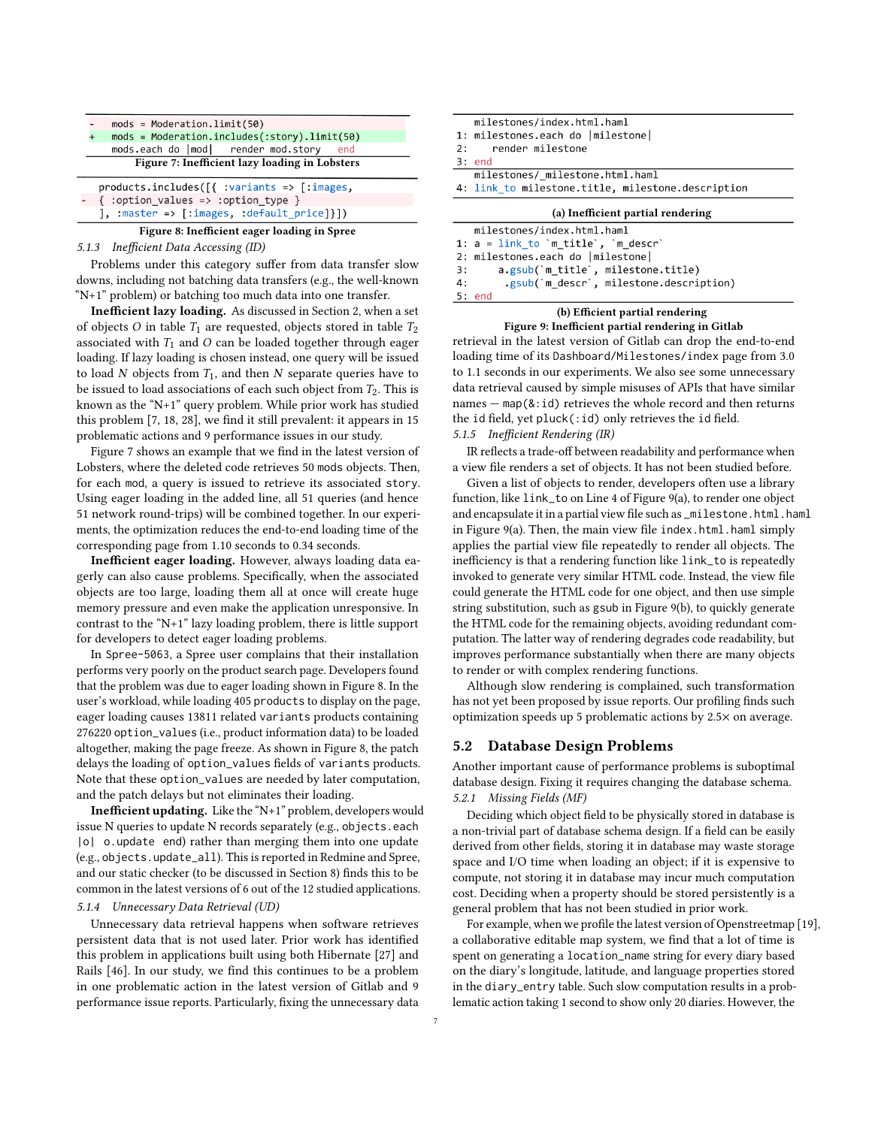<span id="page-6-0"></span>

| $mods = Modernationu\{50\}$                                                                        |  |  |  |  |  |  |  |  |  |  |
|----------------------------------------------------------------------------------------------------|--|--|--|--|--|--|--|--|--|--|
| $mods = Modernation.includes(:story).limit(50)$                                                    |  |  |  |  |  |  |  |  |  |  |
| mods.each do  mod  render mod.story end                                                            |  |  |  |  |  |  |  |  |  |  |
| Figure 7: Inefficient lazy loading in Lobsters                                                     |  |  |  |  |  |  |  |  |  |  |
| products.includes( $\lceil \frac{1}{2} \rceil$ : variants => $\lceil \frac{1}{2} \rceil$ : images, |  |  |  |  |  |  |  |  |  |  |
| - { :option values => :option type }                                                               |  |  |  |  |  |  |  |  |  |  |
| ], :master => $[$ :images, :default price]}])                                                      |  |  |  |  |  |  |  |  |  |  |

# <span id="page-6-1"></span>Figure 8: Inefficient eager loading in Spree

#### 5.1.3 Inefficient Data Accessing (ID)

Problems under this category suffer from data transfer slow downs, including not batching data transfers (e.g., the well-known "N+1" problem) or batching too much data into one transfer.

Inefficient lazy loading. As discussed in Section [2,](#page-1-1) when a set of objects O in table  $T_1$  are requested, objects stored in table  $T_2$ associated with  $T_1$  and O can be loaded together through eager loading. If lazy loading is chosen instead, one query will be issued to load  $N$  objects from  $T_1$ , and then  $N$  separate queries have to be issued to load associations of each such object from  $T_2$ . This is known as the "N+1" query problem. While prior work has studied this problem [\[7,](#page-10-25) [18,](#page-10-26) [28\]](#page-10-27), we find it still prevalent: it appears in 15 problematic actions and 9 performance issues in our study.

Figure [7](#page-6-0) shows an example that we find in the latest version of Lobsters, where the deleted code retrieves 50 mods objects. Then, for each mod, a query is issued to retrieve its associated story. Using eager loading in the added line, all 51 queries (and hence 51 network round-trips) will be combined together. In our experiments, the optimization reduces the end-to-end loading time of the corresponding page from 1.10 seconds to 0.34 seconds.

Inefficient eager loading. However, always loading data eagerly can also cause problems. Specifically, when the associated objects are too large, loading them all at once will create huge memory pressure and even make the application unresponsive. In contrast to the "N+1" lazy loading problem, there is little support for developers to detect eager loading problems.

In Spree-5063, a Spree user complains that their installation performs very poorly on the product search page. Developers found that the problem was due to eager loading shown in Figure [8.](#page-6-1) In the user's workload, while loading 405 products to display on the page, eager loading causes 13811 related variants products containing 276220 option\_values (i.e., product information data) to be loaded altogether, making the page freeze. As shown in Figure [8,](#page-6-1) the patch delays the loading of option\_values fields of variants products. Note that these option\_values are needed by later computation, and the patch delays but not eliminates their loading.

Inefficient updating. Like the "N+1" problem, developers would issue N queries to update N records separately (e.g., objects.each |o| o.update end) rather than merging them into one update (e.g., objects.update\_all). This is reported in Redmine and Spree, and our static checker (to be discussed in Section [8\)](#page-8-1) finds this to be common in the latest versions of 6 out of the 12 studied applications.

#### 5.1.4 Unnecessary Data Retrieval (UD)

Unnecessary data retrieval happens when software retrieves persistent data that is not used later. Prior work has identified this problem in applications built using both Hibernate [\[27\]](#page-10-9) and Rails [\[46\]](#page-10-11). In our study, we find this continues to be a problem in one problematic action in the latest version of Gitlab and 9 performance issue reports. Particularly, fixing the unnecessary data

<span id="page-6-2"></span>

|                                   | milestones/index.html.haml                        |  |  |  |  |  |  |  |  |
|-----------------------------------|---------------------------------------------------|--|--|--|--|--|--|--|--|
|                                   | 1: milestones.each do  milestone                  |  |  |  |  |  |  |  |  |
| 2:                                | render milestone                                  |  |  |  |  |  |  |  |  |
|                                   | $3:$ end                                          |  |  |  |  |  |  |  |  |
|                                   | milestones/ milestone.html.haml                   |  |  |  |  |  |  |  |  |
|                                   | 4: link to milestone.title, milestone.description |  |  |  |  |  |  |  |  |
| (a) Inefficient partial rendering |                                                   |  |  |  |  |  |  |  |  |
|                                   |                                                   |  |  |  |  |  |  |  |  |
|                                   | milestones/index.html.haml                        |  |  |  |  |  |  |  |  |
|                                   | 1: $a =$ link to `m title`, `m descr`             |  |  |  |  |  |  |  |  |
|                                   | 2: milestones.each do  milestone                  |  |  |  |  |  |  |  |  |
| 3:                                | a.gsub(`m title`, milestone.title)                |  |  |  |  |  |  |  |  |
| 4:                                | .gsub(`m descr`, milestone.description)           |  |  |  |  |  |  |  |  |

## (b) Efficient partial rendering

Figure 9: Inefficient partial rendering in Gitlab retrieval in the latest version of Gitlab can drop the end-to-end loading time of its Dashboard/Milestones/index page from 3.0 to 1.1 seconds in our experiments. We also see some unnecessary data retrieval caused by simple misuses of APIs that have similar names  $-$  map( $&$ : id) retrieves the whole record and then returns the id field, yet pluck(:id) only retrieves the id field. 5.1.5 Inefficient Rendering (IR)

<span id="page-6-4"></span>IR reflects a trade-off between readability and performance when a view file renders a set of objects. It has not been studied before.

Given a list of objects to render, developers often use a library function, like link\_to on Line 4 of Figure [9\(a\),](#page-6-2) to render one object and encapsulate it in a partial view file such as \_milestone.html.haml in Figure [9\(a\).](#page-6-2) Then, the main view file index.html.haml simply applies the partial view file repeatedly to render all objects. The inefficiency is that a rendering function like link\_to is repeatedly invoked to generate very similar HTML code. Instead, the view file could generate the HTML code for one object, and then use simple string substitution, such as gsub in Figure [9\(b\),](#page-6-2) to quickly generate the HTML code for the remaining objects, avoiding redundant computation. The latter way of rendering degrades code readability, but improves performance substantially when there are many objects to render or with complex rendering functions.

Although slow rendering is complained, such transformation has not yet been proposed by issue reports. Our profiling finds such optimization speeds up 5 problematic actions by 2.5× on average.

#### <span id="page-6-3"></span>5.2 Database Design Problems

Another important cause of performance problems is suboptimal database design. Fixing it requires changing the database schema. 5.2.1 Missing Fields (MF)

Deciding which object field to be physically stored in database is a non-trivial part of database schema design. If a field can be easily derived from other fields, storing it in database may waste storage space and I/O time when loading an object; if it is expensive to compute, not storing it in database may incur much computation cost. Deciding when a property should be stored persistently is a general problem that has not been studied in prior work.

For example, when we profile the latest version of Openstreetmap [\[19\]](#page-10-28), a collaborative editable map system, we find that a lot of time is spent on generating a location\_name string for every diary based on the diary's longitude, latitude, and language properties stored in the diary\_entry table. Such slow computation results in a problematic action taking 1 second to show only 20 diaries. However, the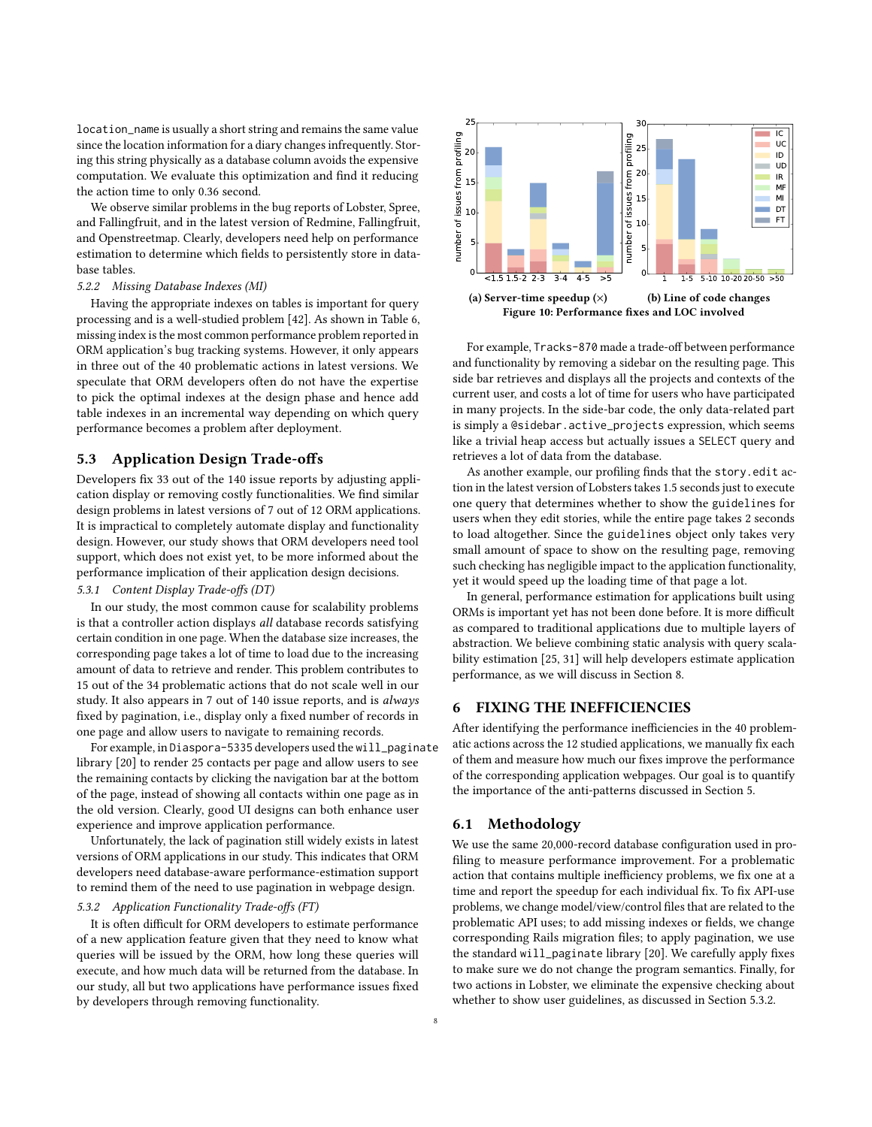location\_name is usually a short string and remains the same value since the location information for a diary changes infrequently. Storing this string physically as a database column avoids the expensive computation. We evaluate this optimization and find it reducing the action time to only 0.36 second.

We observe similar problems in the bug reports of Lobster, Spree, and Fallingfruit, and in the latest version of Redmine, Fallingfruit, and Openstreetmap. Clearly, developers need help on performance estimation to determine which fields to persistently store in database tables.

#### 5.2.2 Missing Database Indexes (MI)

Having the appropriate indexes on tables is important for query processing and is a well-studied problem [\[42\]](#page-10-29). As shown in Table [6,](#page-4-4) missing index is the most common performance problem reported in ORM application's bug tracking systems. However, it only appears in three out of the 40 problematic actions in latest versions. We speculate that ORM developers often do not have the expertise to pick the optimal indexes at the design phase and hence add table indexes in an incremental way depending on which query performance becomes a problem after deployment.

## <span id="page-7-3"></span>5.3 Application Design Trade-offs

Developers fix 33 out of the 140 issue reports by adjusting application display or removing costly functionalities. We find similar design problems in latest versions of 7 out of 12 ORM applications. It is impractical to completely automate display and functionality design. However, our study shows that ORM developers need tool support, which does not exist yet, to be more informed about the performance implication of their application design decisions. 5.3.1 Content Display Trade-offs (DT)

In our study, the most common cause for scalability problems is that a controller action displays all database records satisfying certain condition in one page. When the database size increases, the corresponding page takes a lot of time to load due to the increasing amount of data to retrieve and render. This problem contributes to 15 out of the 34 problematic actions that do not scale well in our study. It also appears in 7 out of 140 issue reports, and is always fixed by pagination, i.e., display only a fixed number of records in one page and allow users to navigate to remaining records.

For example, in Diaspora-5335 developers used the will\_paginate library [\[20\]](#page-10-30) to render 25 contacts per page and allow users to see the remaining contacts by clicking the navigation bar at the bottom of the page, instead of showing all contacts within one page as in the old version. Clearly, good UI designs can both enhance user experience and improve application performance.

Unfortunately, the lack of pagination still widely exists in latest versions of ORM applications in our study. This indicates that ORM developers need database-aware performance-estimation support to remind them of the need to use pagination in webpage design.

# <span id="page-7-1"></span>5.3.2 Application Functionality Trade-offs (FT)

It is often difficult for ORM developers to estimate performance of a new application feature given that they need to know what queries will be issued by the ORM, how long these queries will execute, and how much data will be returned from the database. In our study, all but two applications have performance issues fixed by developers through removing functionality.

<span id="page-7-2"></span>

For example, Tracks-870 made a trade-off between performance and functionality by removing a sidebar on the resulting page. This side bar retrieves and displays all the projects and contexts of the current user, and costs a lot of time for users who have participated in many projects. In the side-bar code, the only data-related part is simply a @sidebar.active\_projects expression, which seems like a trivial heap access but actually issues a SELECT query and retrieves a lot of data from the database.

As another example, our profiling finds that the story.edit action in the latest version of Lobsters takes 1.5 seconds just to execute one query that determines whether to show the guidelines for users when they edit stories, while the entire page takes 2 seconds to load altogether. Since the guidelines object only takes very small amount of space to show on the resulting page, removing such checking has negligible impact to the application functionality, yet it would speed up the loading time of that page a lot.

In general, performance estimation for applications built using ORMs is important yet has not been done before. It is more difficult as compared to traditional applications due to multiple layers of abstraction. We believe combining static analysis with query scalability estimation [\[25,](#page-10-31) [31\]](#page-10-32) will help developers estimate application performance, as we will discuss in Section [8.](#page-8-1)

# <span id="page-7-0"></span>6 FIXING THE INEFFICIENCIES

After identifying the performance inefficiencies in the 40 problematic actions across the 12 studied applications, we manually fix each of them and measure how much our fixes improve the performance of the corresponding application webpages. Our goal is to quantify the importance of the anti-patterns discussed in Section [5.](#page-4-0)

## 6.1 Methodology

We use the same 20,000-record database configuration used in profiling to measure performance improvement. For a problematic action that contains multiple inefficiency problems, we fix one at a time and report the speedup for each individual fix. To fix API-use problems, we change model/view/control files that are related to the problematic API uses; to add missing indexes or fields, we change corresponding Rails migration files; to apply pagination, we use the standard will\_paginate library [\[20\]](#page-10-30). We carefully apply fixes to make sure we do not change the program semantics. Finally, for two actions in Lobster, we eliminate the expensive checking about whether to show user guidelines, as discussed in Section [5.3.2.](#page-7-1)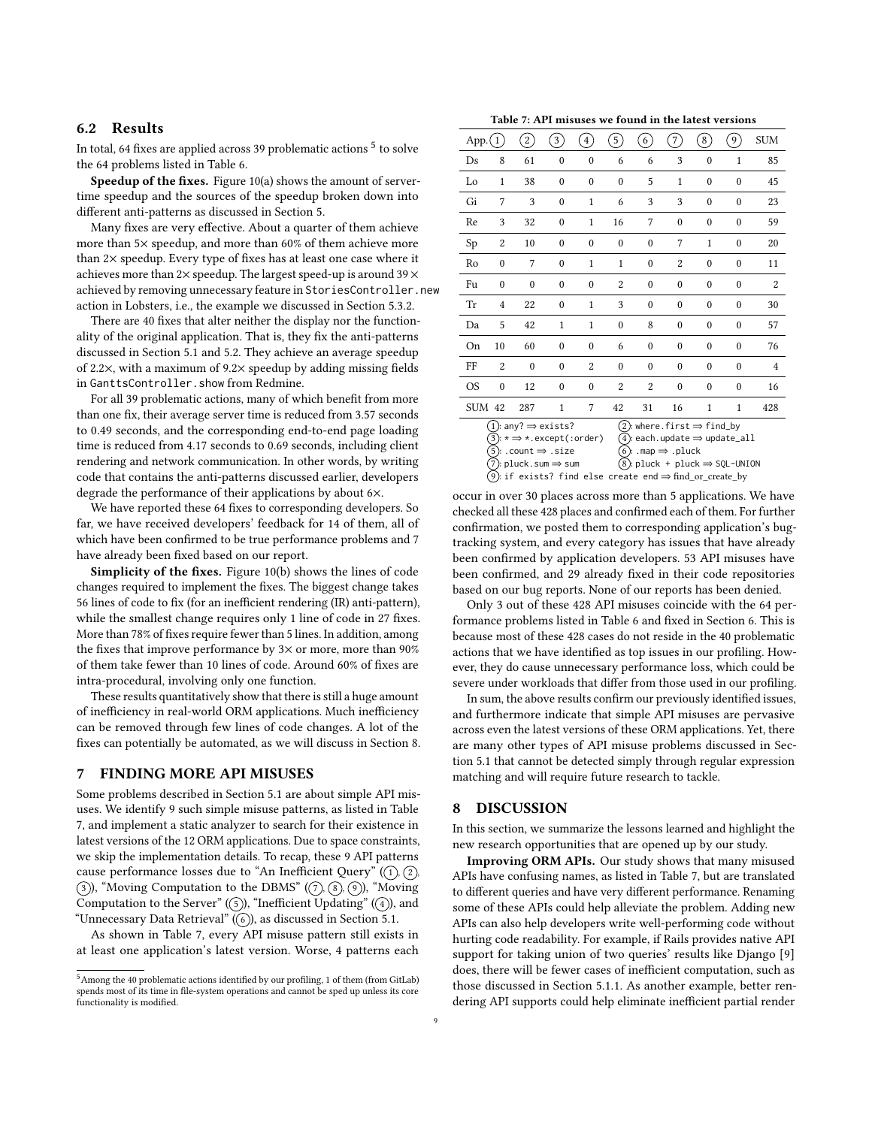# 6.2 Results

In total, 64 fixes are applied across 39 problematic actions  $^5$  $^5$  to solve the 64 problems listed in Table [6.](#page-4-4)

Speedup of the fixes. Figure [10\(a\)](#page-7-2) shows the amount of servertime speedup and the sources of the speedup broken down into different anti-patterns as discussed in Section [5.](#page-4-0)

Many fixes are very effective. About a quarter of them achieve more than 5× speedup, and more than 60% of them achieve more than 2× speedup. Every type of fixes has at least one case where it achieves more than  $2\times$  speedup. The largest speed-up is around  $39\times$ achieved by removing unnecessary feature in StoriesController.new action in Lobsters, i.e., the example we discussed in Section [5.3.2.](#page-7-1)

There are 40 fixes that alter neither the display nor the functionality of the original application. That is, they fix the anti-patterns discussed in Section [5.1](#page-4-5) and [5.2.](#page-6-3) They achieve an average speedup of 2.2×, with a maximum of 9.2× speedup by adding missing fields in GanttsController.show from Redmine.

For all 39 problematic actions, many of which benefit from more than one fix, their average server time is reduced from 3.57 seconds to 0.49 seconds, and the corresponding end-to-end page loading time is reduced from 4.17 seconds to 0.69 seconds, including client rendering and network communication. In other words, by writing code that contains the anti-patterns discussed earlier, developers degrade the performance of their applications by about 6×.

We have reported these 64 fixes to corresponding developers. So far, we have received developers' feedback for 14 of them, all of which have been confirmed to be true performance problems and 7 have already been fixed based on our report.

Simplicity of the fixes. Figure [10\(b\)](#page-7-2) shows the lines of code changes required to implement the fixes. The biggest change takes 56 lines of code to fix (for an inefficient rendering (IR) anti-pattern), while the smallest change requires only 1 line of code in 27 fixes. More than 78% of fixes require fewer than 5 lines. In addition, among the fixes that improve performance by  $3\times$  or more, more than  $90\%$ of them take fewer than 10 lines of code. Around 60% of fixes are intra-procedural, involving only one function.

These results quantitatively show that there is still a huge amount of inefficiency in real-world ORM applications. Much inefficiency can be removed through few lines of code changes. A lot of the fixes can potentially be automated, as we will discuss in Section [8.](#page-8-1)

# <span id="page-8-0"></span>7 FINDING MORE API MISUSES

Some problems described in Section [5.1](#page-4-5) are about simple API misuses. We identify 9 such simple misuse patterns, as listed in Table [7,](#page-8-3) and implement a static analyzer to search for their existence in latest versions of the 12 ORM applications. Due to space constraints, we skip the implementation details. To recap, these 9 API patterns cause performance losses due to "An Inefficient Query"  $(1, 2)$ ,  $(3)$ , "Moving Computation to the DBMS"  $(7)$ ,  $(8)$ ,  $(9)$ ), "Moving Computation to the Server"  $(5)$ , "Inefficient Updating"  $(4)$ , and "Unnecessary Data Retrieval"  $(\circled{\scriptstyle 6})$ , as discussed in Section [5.1.](#page-4-5)

As shown in Table [7,](#page-8-3) every API misuse pattern still exists in at least one application's latest version. Worse, 4 patterns each

| Table 7: API misuses we found in the latest versions |
|------------------------------------------------------|
|------------------------------------------------------|

<span id="page-8-3"></span>

| App.          | $\mathbf{1}$                                                                                                                                                                                                                                                                                                                                                                                   | $\mathbf{2}^{\prime}$ | $\overline{\mathbf{3}}$ | $\overline{4}$   | $\left(5\right)$ | 6 <sup>2</sup> | 7                        | 8                    | 9                        | <b>SUM</b> |  |  |  |
|---------------|------------------------------------------------------------------------------------------------------------------------------------------------------------------------------------------------------------------------------------------------------------------------------------------------------------------------------------------------------------------------------------------------|-----------------------|-------------------------|------------------|------------------|----------------|--------------------------|----------------------|--------------------------|------------|--|--|--|
| Ds            | 8                                                                                                                                                                                                                                                                                                                                                                                              | 61                    | $\bf{0}$                | $\boldsymbol{0}$ | 6                | 6              | 3                        | $\mathbf{0}$         | $\mathbf{1}$             | 85         |  |  |  |
| Lo            | $\mathbf{1}$                                                                                                                                                                                                                                                                                                                                                                                   | 38                    | $\mathbf{0}$            | $\boldsymbol{0}$ | $\mathbf{0}$     | 5              | $\mathbf{1}$             | $\mathbf{0}$         | $\mathbf{0}$             | 45         |  |  |  |
| Gi            | 7                                                                                                                                                                                                                                                                                                                                                                                              | 3                     | $\mathbf{0}$            | 1                | 6                | 3              | 3                        | $\theta$             | $\mathbf{0}$             | 23         |  |  |  |
| Re            | 3                                                                                                                                                                                                                                                                                                                                                                                              | 32                    | $\mathbf{0}$            | $\mathbf{1}$     | 16               | 7              | $\mathbf{0}$             | $\theta$             | $\theta$                 | 59         |  |  |  |
| Sp            | 2                                                                                                                                                                                                                                                                                                                                                                                              | 10                    | $\mathbf{0}$            | $\boldsymbol{0}$ | $\mathbf{0}$     | $\mathbf{0}$   | 7                        | 1                    | $\theta$                 | 20         |  |  |  |
| Ro            | $\theta$                                                                                                                                                                                                                                                                                                                                                                                       | 7                     | $\theta$                | 1                | 1                | $\theta$       | $\overline{2}$           | $\theta$             | $\theta$                 | 11         |  |  |  |
| Fu            | $\mathbf{0}$                                                                                                                                                                                                                                                                                                                                                                                   | $\mathbf{0}$          | $\mathbf{0}$            | $\boldsymbol{0}$ | 2                | $\mathbf{0}$   | $\mathbf{0}$             | $\mathbf{0}$         | $\mathbf{0}$             | 2          |  |  |  |
| Tr            | 4                                                                                                                                                                                                                                                                                                                                                                                              | 22                    | $\mathbf{0}$            | 1                | 3                | $\mathbf{0}$   | $\mathbf{0}$             | $\mathbf{0}$         | $\mathbf{0}$             | 30         |  |  |  |
| Da            | 5                                                                                                                                                                                                                                                                                                                                                                                              | 42                    | 1                       | 1                | $\mathbf{0}$     | 8              | $\mathbf{0}$<br>$\theta$ | $\theta$<br>$\theta$ | $\mathbf{0}$<br>$\theta$ | 57<br>76   |  |  |  |
| On            | 10                                                                                                                                                                                                                                                                                                                                                                                             | 60                    | $\mathbf{0}$            | $\theta$         | 6                | $\mathbf{0}$   |                          |                      |                          |            |  |  |  |
| FF            | $\overline{2}$                                                                                                                                                                                                                                                                                                                                                                                 | $\mathbf{0}$          | $\theta$                | 2                | $\theta$         | $\theta$       | $\theta$                 | $\theta$             | $\theta$                 | 4          |  |  |  |
| OS            | $\mathbf{0}$                                                                                                                                                                                                                                                                                                                                                                                   | 12                    | $\mathbf{0}$            | $\boldsymbol{0}$ | 2                | $\overline{2}$ | $\theta$                 | $\mathbf{0}$         | $\mathbf{0}$             | 16         |  |  |  |
| <b>SUM 42</b> |                                                                                                                                                                                                                                                                                                                                                                                                | 287                   | 1                       | 7                | 42               | 31             | 16                       | $\mathbf 1$          | $\mathbf{1}$             | 428        |  |  |  |
|               | (1): any? $⇒$ exists?<br>$(2)$ :where.first $\Rightarrow$ find_by<br>$(3): \star \Rightarrow \star$ .except(:order)<br>$4$ : each.update $\Rightarrow$ update_all<br>$(5)$ : .count $\Rightarrow$ .size<br>$(6)$ : .map $\Rightarrow$ .pluck<br>$(8)$ : pluck + pluck $\Rightarrow$ SQL-UNION<br>7) pluck.sum ⇒ sum<br>$(9)$ : if exists? find else create end $\Rightarrow$ find_or_create_by |                       |                         |                  |                  |                |                          |                      |                          |            |  |  |  |

occur in over 30 places across more than 5 applications. We have checked all these 428 places and confirmed each of them. For further confirmation, we posted them to corresponding application's bugtracking system, and every category has issues that have already been confirmed by application developers. 53 API misuses have been confirmed, and 29 already fixed in their code repositories based on our bug reports. None of our reports has been denied.

Only 3 out of these 428 API misuses coincide with the 64 performance problems listed in Table [6](#page-4-4) and fixed in Section [6.](#page-7-0) This is because most of these 428 cases do not reside in the 40 problematic actions that we have identified as top issues in our profiling. However, they do cause unnecessary performance loss, which could be severe under workloads that differ from those used in our profiling.

In sum, the above results confirm our previously identified issues, and furthermore indicate that simple API misuses are pervasive across even the latest versions of these ORM applications. Yet, there are many other types of API misuse problems discussed in Section [5.1](#page-4-5) that cannot be detected simply through regular expression matching and will require future research to tackle.

## <span id="page-8-1"></span>8 DISCUSSION

In this section, we summarize the lessons learned and highlight the new research opportunities that are opened up by our study.

Improving ORM APIs. Our study shows that many misused APIs have confusing names, as listed in Table [7,](#page-8-3) but are translated to different queries and have very different performance. Renaming some of these APIs could help alleviate the problem. Adding new APIs can also help developers write well-performing code without hurting code readability. For example, if Rails provides native API support for taking union of two queries' results like Django [\[9\]](#page-10-4) does, there will be fewer cases of inefficient computation, such as those discussed in Section [5.1.1.](#page-4-6) As another example, better rendering API supports could help eliminate inefficient partial render

<span id="page-8-2"></span> $^5\rm{Among}$  the 40 problematic actions identified by our profiling, 1 of them (from GitLab) spends most of its time in file-system operations and cannot be sped up unless its core functionality is modified.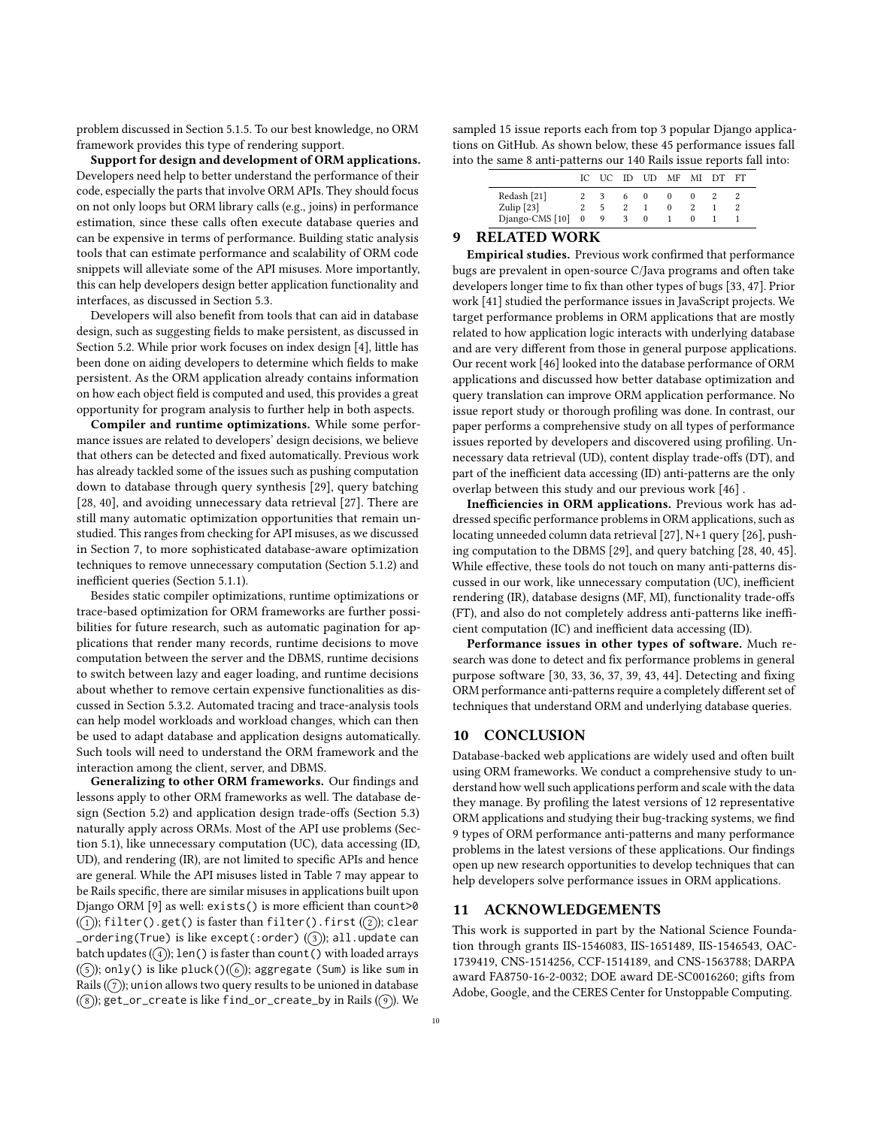problem discussed in Section [5.1.5.](#page-6-4) To our best knowledge, no ORM framework provides this type of rendering support.

Support for design and development of ORM applications. Developers need help to better understand the performance of their code, especially the parts that involve ORM APIs. They should focus on not only loops but ORM library calls (e.g., joins) in performance estimation, since these calls often execute database queries and can be expensive in terms of performance. Building static analysis tools that can estimate performance and scalability of ORM code snippets will alleviate some of the API misuses. More importantly, this can help developers design better application functionality and interfaces, as discussed in Section [5.3.](#page-7-3)

Developers will also benefit from tools that can aid in database design, such as suggesting fields to make persistent, as discussed in Section [5.2.](#page-6-3) While prior work focuses on index design [\[4\]](#page-10-33), little has been done on aiding developers to determine which fields to make persistent. As the ORM application already contains information on how each object field is computed and used, this provides a great opportunity for program analysis to further help in both aspects.

Compiler and runtime optimizations. While some performance issues are related to developers' design decisions, we believe that others can be detected and fixed automatically. Previous work has already tackled some of the issues such as pushing computation down to database through query synthesis [\[29\]](#page-10-10), query batching [\[28,](#page-10-27) [40\]](#page-10-34), and avoiding unnecessary data retrieval [\[27\]](#page-10-9). There are still many automatic optimization opportunities that remain unstudied. This ranges from checking for API misuses, as we discussed in Section [7,](#page-8-0) to more sophisticated database-aware optimization techniques to remove unnecessary computation (Section [5.1.2\)](#page-5-3) and inefficient queries (Section [5.1.1\)](#page-4-6).

Besides static compiler optimizations, runtime optimizations or trace-based optimization for ORM frameworks are further possibilities for future research, such as automatic pagination for applications that render many records, runtime decisions to move computation between the server and the DBMS, runtime decisions to switch between lazy and eager loading, and runtime decisions about whether to remove certain expensive functionalities as discussed in Section [5.3.2.](#page-7-1) Automated tracing and trace-analysis tools can help model workloads and workload changes, which can then be used to adapt database and application designs automatically. Such tools will need to understand the ORM framework and the interaction among the client, server, and DBMS.

Generalizing to other ORM frameworks. Our findings and lessons apply to other ORM frameworks as well. The database design (Section [5.2\)](#page-6-3) and application design trade-offs (Section [5.3\)](#page-7-3) naturally apply across ORMs. Most of the API use problems (Section [5.1\)](#page-4-5), like unnecessary computation (UC), data accessing (ID, UD), and rendering (IR), are not limited to specific APIs and hence are general. While the API misuses listed in Table [7](#page-8-3) may appear to be Rails specific, there are similar misuses in applications built upon Django ORM [\[9\]](#page-10-4) as well: exists() is more efficient than count>0  $( \widehat{\mathfrak{u}} )$ ; filter().get() is faster than filter().first  $( \widehat{\mathfrak{u}} )$ ; clear  ${\sf \_ordering}$ (True) is like except(:order) ( $\cal$ 3); all.update can batch updates  $(4)$ ; len() is faster than count() with loaded arrays ( $($ 5)); only() is like pluck( $)($  $($  $6)$ ); aggregate (Sum) is like sum in Rails  $(2)$ ; union allows two query results to be unioned in database  $(\circledast)$ ; get\_or\_create is like find\_or\_create\_by in Rails  $(\circledast)$ . We

sampled 15 issue reports each from top 3 popular Django applications on GitHub. As shown below, these 45 performance issues fall into the same 8 anti-patterns our 140 Rails issue reports fall into:

|                   |   |    | IC UC ID UD MF MI DT FT |  |  |
|-------------------|---|----|-------------------------|--|--|
| Redash [21]       |   | 6. | $_{0}$                  |  |  |
| Zulip $[23]$      | 5 |    |                         |  |  |
| Django-CMS [10] 0 | 9 |    | $_{0}$                  |  |  |

# 9 RELATED WORK

Empirical studies. Previous work confirmed that performance bugs are prevalent in open-source C/Java programs and often take developers longer time to fix than other types of bugs [\[33,](#page-10-38) [47\]](#page-10-39). Prior work [\[41\]](#page-10-7) studied the performance issues in JavaScript projects. We target performance problems in ORM applications that are mostly related to how application logic interacts with underlying database and are very different from those in general purpose applications. Our recent work [\[46\]](#page-10-11) looked into the database performance of ORM applications and discussed how better database optimization and query translation can improve ORM application performance. No issue report study or thorough profiling was done. In contrast, our paper performs a comprehensive study on all types of performance issues reported by developers and discovered using profiling. Unnecessary data retrieval (UD), content display trade-offs (DT), and part of the inefficient data accessing (ID) anti-patterns are the only overlap between this study and our previous work [\[46\]](#page-10-11) .

Inefficiencies in ORM applications. Previous work has addressed specific performance problems in ORM applications, such as locating unneeded column data retrieval [\[27\]](#page-10-9), N+1 query [\[26\]](#page-10-8), pushing computation to the DBMS [\[29\]](#page-10-10), and query batching [\[28,](#page-10-27) [40,](#page-10-34) [45\]](#page-10-40). While effective, these tools do not touch on many anti-patterns discussed in our work, like unnecessary computation (UC), inefficient rendering (IR), database designs (MF, MI), functionality trade-offs (FT), and also do not completely address anti-patterns like inefficient computation (IC) and inefficient data accessing (ID).

Performance issues in other types of software. Much research was done to detect and fix performance problems in general purpose software [\[30,](#page-10-41) [33,](#page-10-38) [36,](#page-10-42) [37,](#page-10-43) [39,](#page-10-44) [43,](#page-10-45) [44\]](#page-10-46). Detecting and fixing ORM performance anti-patterns require a completely different set of techniques that understand ORM and underlying database queries.

## 10 CONCLUSION

Database-backed web applications are widely used and often built using ORM frameworks. We conduct a comprehensive study to understand how well such applications perform and scale with the data they manage. By profiling the latest versions of 12 representative ORM applications and studying their bug-tracking systems, we find 9 types of ORM performance anti-patterns and many performance problems in the latest versions of these applications. Our findings open up new research opportunities to develop techniques that can help developers solve performance issues in ORM applications.

# 11 ACKNOWLEDGEMENTS

This work is supported in part by the National Science Foundation through grants IIS-1546083, IIS-1651489, IIS-1546543, OAC-1739419, CNS-1514256, CCF-1514189, and CNS-1563788; DARPA award FA8750-16-2-0032; DOE award DE-SC0016260; gifts from Adobe, Google, and the CERES Center for Unstoppable Computing.